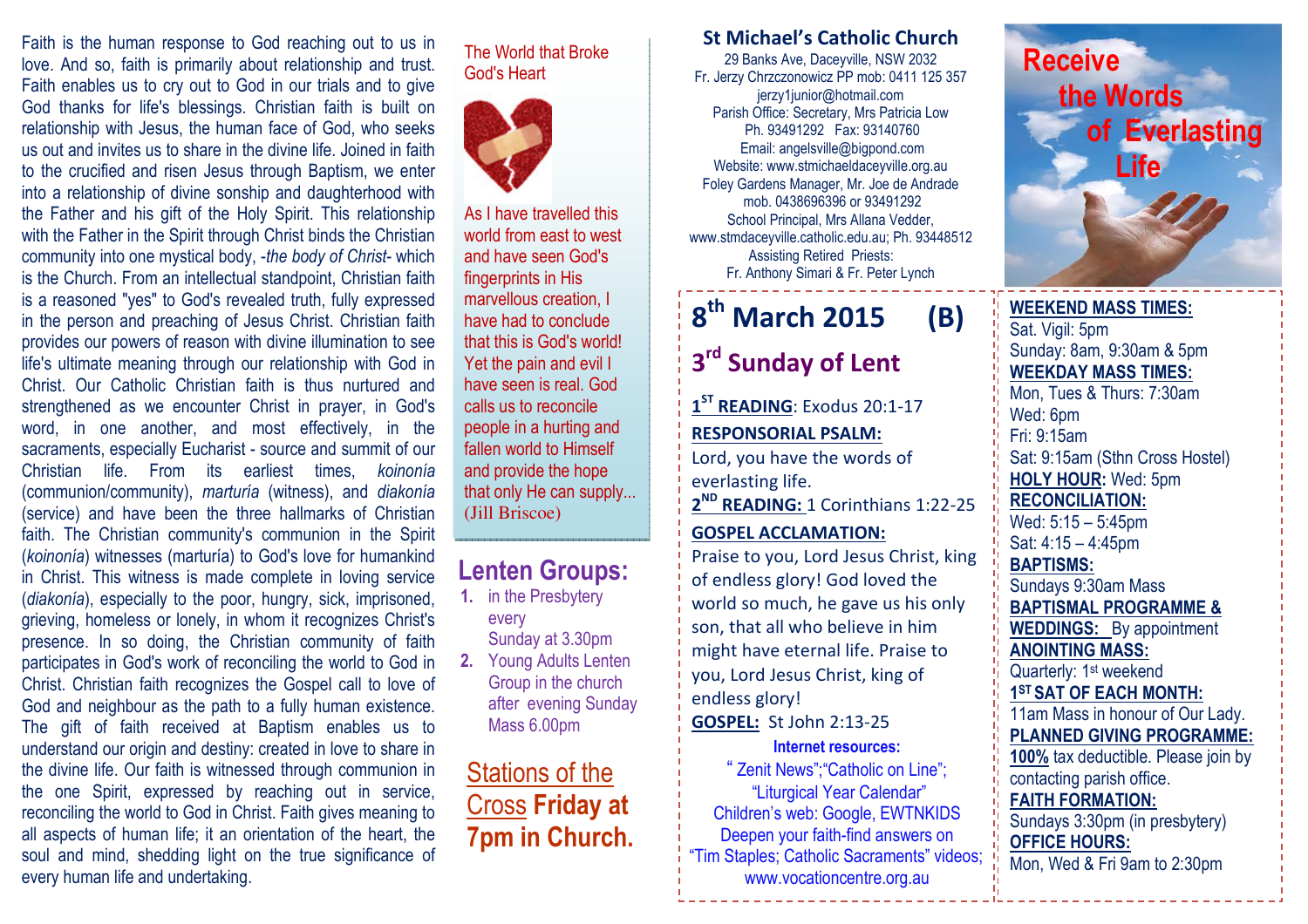Faith is the human response to God reaching out to us in love. And so, faith is primarily about relationship and trust. Faith enables us to cry out to God in our trials and to give God thanks for life's blessings. Christian faith is built on relationship with Jesus, the human face of God, who seeks us out and invites us to share in the divine life. Joined in faith to the crucified and risen Jesus through Baptism, we enter into a relationship of divine sonship and daughterhood with the Father and his gift of the Holy Spirit. This relationship with the Father in the Spirit through Christ binds the Christian community into one mystical body, -the body of Christ- which is the Church. From an intellectual standpoint, Christian faith is a reasoned "yes" to God's revealed truth, fully expressed in the person and preaching of Jesus Christ. Christian faith provides our powers of reason with divine illumination to see life's ultimate meaning through our relationship with God in Christ. Our Catholic Christian faith is thus nurtured and strengthened as we encounter Christ in prayer, in God's word, in one another, and most effectively, in the sacraments, especially Eucharist - source and summit of our Christian life. From its earliest times, koinonía (communion/community), marturía (witness), and diakonía (service) and have been the three hallmarks of Christian faith. The Christian community's communion in the Spirit (koinonía) witnesses (marturía) to God's love for humankind in Christ. This witness is made complete in loving service (diakonía), especially to the poor, hungry, sick, imprisoned, grieving, homeless or lonely, in whom it recognizes Christ's presence. In so doing, the Christian community of faith participates in God's work of reconciling the world to God in Christ. Christian faith recognizes the Gospel call to love of God and neighbour as the path to a fully human existence. The gift of faith received at Baptism enables us to understand our origin and destiny: created in love to share in the divine life. Our faith is witnessed through communion in the one Spirit, expressed by reaching out in service, reconciling the world to God in Christ. Faith gives meaning to all aspects of human life; it an orientation of the heart, the soul and mind, shedding light on the true significance of every human life and undertaking.

#### The World that Broke God's Heart



As I have travelled this world from east to west and have seen God's fingerprints in His marvellous creation, I have had to conclude that this is God's world! Yet the pain and evil I have seen is real. God calls us to reconcile people in a hurting and fallen world to Himself and provide the hope that only He can supply... (Jill Briscoe)

## Lenten Groups:

- 1. in the Presbytery every Sunday at 3.30pm 2. Young Adults Lenten Group in the church
- after evening Sunday Mass 6.00pm

## Stations of the Cross Friday at 7pm in Church.

### St Michael's Catholic Church

29 Banks Ave, Daceyville, NSW 2032 Fr. Jerzy Chrzczonowicz PP mob: 0411 125 357 jerzy1junior@hotmail.com Parish Office: Secretary, Mrs Patricia Low Ph. 93491292 Fax: 93140760 Email: angelsville@bigpond.com Website: www.stmichaeldaceyville.org.au Foley Gardens Manager, Mr. Joe de Andrade mob. 0438696396 or 93491292 School Principal, Mrs Allana Vedder, www.stmdaceyville.catholic.edu.au; Ph. 93448512 Assisting Retired Priests: Fr. Anthony Simari & Fr. Peter Lynch

# $8<sup>th</sup>$  March 2015 (B)

# 3<sup>rd</sup> Sunday of Lent

1<sup>ST</sup> READING: Exodus 20:1-17 RESPONSORIAL PSALM:

Lord, you have the words of everlasting life.

2<sup>ND</sup> READING: 1 Corinthians 1:22-25

#### GOSPEL ACCLAMATION:

Praise to you, Lord Jesus Christ, king of endless glory! God loved the world so much, he gave us his only son, that all who believe in him might have eternal life. Praise to you, Lord Jesus Christ, king of endless glory!GOSPEL: St John 2:13-25

#### Internet resources:

" Zenit News";"Catholic on Line"; "Liturgical Year Calendar" Children's web: Google, EWTNKIDS Deepen your faith-find answers on "Tim Staples; Catholic Sacraments" videos; www.vocationcentre.org.au



#### WEEKEND MASS TIMES:Sat. Vigil: 5pm Sunday: 8am, 9:30am & 5pm WEEKDAY MASS TIMES: Mon, Tues & Thurs: 7:30am Wed: 6pm Fri: 9:15am Sat: 9:15am (Sthn Cross Hostel) HOLY HOUR: Wed: 5pm RECONCILIATION: Wed: 5:15 – 5:45pm Sat: 4:15 – 4:45pm BAPTISMS: Sundays 9:30am Mass BAPTISMAL PROGRAMME & WEDDINGS: By appointment ANOINTING MASS: Quarterly: 1<sup>st</sup> weekend 1<sup>ST</sup> SAT OF EACH MONTH: 11am Mass in honour of Our Lady. PLANNED GIVING PROGRAMME: 100% tax deductible. Please join by contacting parish office. FAITH FORMATION: Sundays 3:30pm (in presbytery) OFFICE HOURS: Mon, Wed & Fri 9am to 2:30pm